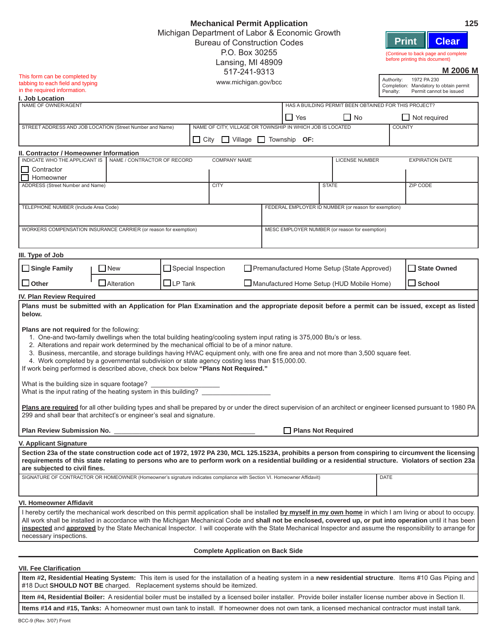|                                                                                                                                                                                                                                                                                                                                                                                                                                                                                                                                                                                                  |                                                                       |                                     | <b>Mechanical Permit Application</b>                      |                                             |                                                      | 125                                                                                                                                                                                                                                                                                                                                                                                                                                                                                         |  |  |  |  |
|--------------------------------------------------------------------------------------------------------------------------------------------------------------------------------------------------------------------------------------------------------------------------------------------------------------------------------------------------------------------------------------------------------------------------------------------------------------------------------------------------------------------------------------------------------------------------------------------------|-----------------------------------------------------------------------|-------------------------------------|-----------------------------------------------------------|---------------------------------------------|------------------------------------------------------|---------------------------------------------------------------------------------------------------------------------------------------------------------------------------------------------------------------------------------------------------------------------------------------------------------------------------------------------------------------------------------------------------------------------------------------------------------------------------------------------|--|--|--|--|
|                                                                                                                                                                                                                                                                                                                                                                                                                                                                                                                                                                                                  | Michigan Department of Labor & Economic Growth                        |                                     |                                                           |                                             |                                                      |                                                                                                                                                                                                                                                                                                                                                                                                                                                                                             |  |  |  |  |
|                                                                                                                                                                                                                                                                                                                                                                                                                                                                                                                                                                                                  | <b>Print</b><br><b>Bureau of Construction Codes</b><br>P.O. Box 30255 |                                     |                                                           |                                             |                                                      |                                                                                                                                                                                                                                                                                                                                                                                                                                                                                             |  |  |  |  |
|                                                                                                                                                                                                                                                                                                                                                                                                                                                                                                                                                                                                  |                                                                       | (Continue to back page and complete |                                                           |                                             |                                                      |                                                                                                                                                                                                                                                                                                                                                                                                                                                                                             |  |  |  |  |
|                                                                                                                                                                                                                                                                                                                                                                                                                                                                                                                                                                                                  |                                                                       |                                     | Lansing, MI 48909                                         |                                             |                                                      | before printing this document)                                                                                                                                                                                                                                                                                                                                                                                                                                                              |  |  |  |  |
| This form can be completed by                                                                                                                                                                                                                                                                                                                                                                                                                                                                                                                                                                    |                                                                       |                                     | 517-241-9313                                              |                                             |                                                      | <b>M 2006 M</b>                                                                                                                                                                                                                                                                                                                                                                                                                                                                             |  |  |  |  |
| tabbing to each field and typing                                                                                                                                                                                                                                                                                                                                                                                                                                                                                                                                                                 |                                                                       |                                     | www.michigan.gov/bcc                                      |                                             |                                                      | Authority:<br>1972 PA 230<br>Completion: Mandatory to obtain permit                                                                                                                                                                                                                                                                                                                                                                                                                         |  |  |  |  |
| in the required information.<br>I. Job Location                                                                                                                                                                                                                                                                                                                                                                                                                                                                                                                                                  |                                                                       |                                     |                                                           |                                             |                                                      | Permit cannot be issued<br>Penalty:                                                                                                                                                                                                                                                                                                                                                                                                                                                         |  |  |  |  |
| NAME OF OWNER/AGENT                                                                                                                                                                                                                                                                                                                                                                                                                                                                                                                                                                              |                                                                       |                                     |                                                           |                                             |                                                      | HAS A BUILDING PERMIT BEEN OBTAINED FOR THIS PROJECT?                                                                                                                                                                                                                                                                                                                                                                                                                                       |  |  |  |  |
|                                                                                                                                                                                                                                                                                                                                                                                                                                                                                                                                                                                                  |                                                                       |                                     |                                                           | $\Box$ Yes                                  | $\Box$ No                                            | $\Box$ Not required                                                                                                                                                                                                                                                                                                                                                                                                                                                                         |  |  |  |  |
| STREET ADDRESS AND JOB LOCATION (Street Number and Name)                                                                                                                                                                                                                                                                                                                                                                                                                                                                                                                                         |                                                                       |                                     | NAME OF CITY, VILLAGE OR TOWNSHIP IN WHICH JOB IS LOCATED |                                             |                                                      | <b>COUNTY</b>                                                                                                                                                                                                                                                                                                                                                                                                                                                                               |  |  |  |  |
|                                                                                                                                                                                                                                                                                                                                                                                                                                                                                                                                                                                                  |                                                                       |                                     |                                                           |                                             |                                                      |                                                                                                                                                                                                                                                                                                                                                                                                                                                                                             |  |  |  |  |
|                                                                                                                                                                                                                                                                                                                                                                                                                                                                                                                                                                                                  |                                                                       |                                     | $\Box$ City<br>$\Box$ Village                             | $\Box$ Township OF:                         |                                                      |                                                                                                                                                                                                                                                                                                                                                                                                                                                                                             |  |  |  |  |
| II. Contractor / Homeowner Information<br>INDICATE WHO THE APPLICANT IS                                                                                                                                                                                                                                                                                                                                                                                                                                                                                                                          |                                                                       |                                     |                                                           |                                             |                                                      |                                                                                                                                                                                                                                                                                                                                                                                                                                                                                             |  |  |  |  |
|                                                                                                                                                                                                                                                                                                                                                                                                                                                                                                                                                                                                  | NAME / CONTRACTOR OF RECORD                                           |                                     | <b>COMPANY NAME</b>                                       |                                             | <b>LICENSE NUMBER</b>                                | <b>EXPIRATION DATE</b>                                                                                                                                                                                                                                                                                                                                                                                                                                                                      |  |  |  |  |
| Contractor<br>Homeowner                                                                                                                                                                                                                                                                                                                                                                                                                                                                                                                                                                          |                                                                       |                                     |                                                           |                                             |                                                      |                                                                                                                                                                                                                                                                                                                                                                                                                                                                                             |  |  |  |  |
| ADDRESS (Street Number and Name)                                                                                                                                                                                                                                                                                                                                                                                                                                                                                                                                                                 |                                                                       |                                     | <b>CITY</b>                                               |                                             | <b>STATE</b>                                         | <b>ZIP CODE</b>                                                                                                                                                                                                                                                                                                                                                                                                                                                                             |  |  |  |  |
|                                                                                                                                                                                                                                                                                                                                                                                                                                                                                                                                                                                                  |                                                                       |                                     |                                                           |                                             |                                                      |                                                                                                                                                                                                                                                                                                                                                                                                                                                                                             |  |  |  |  |
| TELEPHONE NUMBER (Include Area Code)                                                                                                                                                                                                                                                                                                                                                                                                                                                                                                                                                             |                                                                       |                                     |                                                           |                                             | FEDERAL EMPLOYER ID NUMBER (or reason for exemption) |                                                                                                                                                                                                                                                                                                                                                                                                                                                                                             |  |  |  |  |
|                                                                                                                                                                                                                                                                                                                                                                                                                                                                                                                                                                                                  |                                                                       |                                     |                                                           |                                             |                                                      |                                                                                                                                                                                                                                                                                                                                                                                                                                                                                             |  |  |  |  |
| WORKERS COMPENSATION INSURANCE CARRIER (or reason for exemption)                                                                                                                                                                                                                                                                                                                                                                                                                                                                                                                                 |                                                                       |                                     |                                                           |                                             | MESC EMPLOYER NUMBER (or reason for exemption)       |                                                                                                                                                                                                                                                                                                                                                                                                                                                                                             |  |  |  |  |
|                                                                                                                                                                                                                                                                                                                                                                                                                                                                                                                                                                                                  |                                                                       |                                     |                                                           |                                             |                                                      |                                                                                                                                                                                                                                                                                                                                                                                                                                                                                             |  |  |  |  |
|                                                                                                                                                                                                                                                                                                                                                                                                                                                                                                                                                                                                  |                                                                       |                                     |                                                           |                                             |                                                      |                                                                                                                                                                                                                                                                                                                                                                                                                                                                                             |  |  |  |  |
| III. Type of Job                                                                                                                                                                                                                                                                                                                                                                                                                                                                                                                                                                                 |                                                                       |                                     |                                                           |                                             |                                                      |                                                                                                                                                                                                                                                                                                                                                                                                                                                                                             |  |  |  |  |
| Single Family                                                                                                                                                                                                                                                                                                                                                                                                                                                                                                                                                                                    | <b>New</b>                                                            | $\Box$ Special Inspection           |                                                           | Premanufactured Home Setup (State Approved) |                                                      | State Owned                                                                                                                                                                                                                                                                                                                                                                                                                                                                                 |  |  |  |  |
|                                                                                                                                                                                                                                                                                                                                                                                                                                                                                                                                                                                                  |                                                                       |                                     |                                                           |                                             |                                                      |                                                                                                                                                                                                                                                                                                                                                                                                                                                                                             |  |  |  |  |
| $\Box$ Other                                                                                                                                                                                                                                                                                                                                                                                                                                                                                                                                                                                     | <b>Alteration</b>                                                     | $\Box$ LP Tank                      |                                                           | Manufactured Home Setup (HUD Mobile Home)   |                                                      | $\square$ School                                                                                                                                                                                                                                                                                                                                                                                                                                                                            |  |  |  |  |
| IV. Plan Review Required                                                                                                                                                                                                                                                                                                                                                                                                                                                                                                                                                                         |                                                                       |                                     |                                                           |                                             |                                                      |                                                                                                                                                                                                                                                                                                                                                                                                                                                                                             |  |  |  |  |
|                                                                                                                                                                                                                                                                                                                                                                                                                                                                                                                                                                                                  |                                                                       |                                     |                                                           |                                             |                                                      | Plans must be submitted with an Application for Plan Examination and the appropriate deposit before a permit can be issued, except as listed                                                                                                                                                                                                                                                                                                                                                |  |  |  |  |
| below.                                                                                                                                                                                                                                                                                                                                                                                                                                                                                                                                                                                           |                                                                       |                                     |                                                           |                                             |                                                      |                                                                                                                                                                                                                                                                                                                                                                                                                                                                                             |  |  |  |  |
| Plans are not required for the following:<br>1. One-and two-family dwellings when the total building heating/cooling system input rating is 375,000 Btu's or less.<br>2. Alterations and repair work determined by the mechanical official to be of a minor nature.<br>3. Business, mercantile, and storage buildings having HVAC equipment only, with one fire area and not more than 3,500 square feet.<br>4. Work completed by a governmental subdivision or state agency costing less than \$15,000.00.<br>If work being performed is described above, check box below "Plans Not Required." |                                                                       |                                     |                                                           |                                             |                                                      |                                                                                                                                                                                                                                                                                                                                                                                                                                                                                             |  |  |  |  |
| What is the building size in square footage?                                                                                                                                                                                                                                                                                                                                                                                                                                                                                                                                                     |                                                                       |                                     |                                                           |                                             |                                                      |                                                                                                                                                                                                                                                                                                                                                                                                                                                                                             |  |  |  |  |
| What is the input rating of the heating system in this building?                                                                                                                                                                                                                                                                                                                                                                                                                                                                                                                                 |                                                                       |                                     |                                                           |                                             |                                                      |                                                                                                                                                                                                                                                                                                                                                                                                                                                                                             |  |  |  |  |
| 299 and shall bear that architect's or engineer's seal and signature.                                                                                                                                                                                                                                                                                                                                                                                                                                                                                                                            |                                                                       |                                     |                                                           |                                             |                                                      | Plans are required for all other building types and shall be prepared by or under the direct supervision of an architect or engineer licensed pursuant to 1980 PA                                                                                                                                                                                                                                                                                                                           |  |  |  |  |
|                                                                                                                                                                                                                                                                                                                                                                                                                                                                                                                                                                                                  |                                                                       |                                     |                                                           |                                             | Plans Not Required                                   |                                                                                                                                                                                                                                                                                                                                                                                                                                                                                             |  |  |  |  |
|                                                                                                                                                                                                                                                                                                                                                                                                                                                                                                                                                                                                  |                                                                       |                                     |                                                           |                                             |                                                      |                                                                                                                                                                                                                                                                                                                                                                                                                                                                                             |  |  |  |  |
| V. Applicant Signature<br>are subjected to civil fines.<br>SIGNATURE OF CONTRACTOR OR HOMEOWNER (Homeowner's signature indicates compliance with Section VI. Homeowner Affidavit)                                                                                                                                                                                                                                                                                                                                                                                                                |                                                                       |                                     |                                                           |                                             |                                                      | Section 23a of the state construction code act of 1972, 1972 PA 230, MCL 125.1523A, prohibits a person from conspiring to circumvent the licensing<br>requirements of this state relating to persons who are to perform work on a residential building or a residential structure. Violators of section 23a<br><b>DATE</b>                                                                                                                                                                  |  |  |  |  |
|                                                                                                                                                                                                                                                                                                                                                                                                                                                                                                                                                                                                  |                                                                       |                                     |                                                           |                                             |                                                      |                                                                                                                                                                                                                                                                                                                                                                                                                                                                                             |  |  |  |  |
|                                                                                                                                                                                                                                                                                                                                                                                                                                                                                                                                                                                                  |                                                                       |                                     |                                                           |                                             |                                                      |                                                                                                                                                                                                                                                                                                                                                                                                                                                                                             |  |  |  |  |
| VI. Homeowner Affidavit                                                                                                                                                                                                                                                                                                                                                                                                                                                                                                                                                                          |                                                                       |                                     |                                                           |                                             |                                                      |                                                                                                                                                                                                                                                                                                                                                                                                                                                                                             |  |  |  |  |
| necessary inspections.                                                                                                                                                                                                                                                                                                                                                                                                                                                                                                                                                                           |                                                                       |                                     |                                                           |                                             |                                                      | I hereby certify the mechanical work described on this permit application shall be installed by myself in my own home in which I am living or about to occupy.<br>All work shall be installed in accordance with the Michigan Mechanical Code and shall not be enclosed, covered up, or put into operation until it has been<br>inspected and approved by the State Mechanical Inspector. I will cooperate with the State Mechanical Inspector and assume the responsibility to arrange for |  |  |  |  |
|                                                                                                                                                                                                                                                                                                                                                                                                                                                                                                                                                                                                  |                                                                       |                                     | <b>Complete Application on Back Side</b>                  |                                             |                                                      |                                                                                                                                                                                                                                                                                                                                                                                                                                                                                             |  |  |  |  |
|                                                                                                                                                                                                                                                                                                                                                                                                                                                                                                                                                                                                  |                                                                       |                                     |                                                           |                                             |                                                      |                                                                                                                                                                                                                                                                                                                                                                                                                                                                                             |  |  |  |  |
| VII. Fee Clarification<br>#18 Duct SHOULD NOT BE charged. Replacement systems should be itemized.                                                                                                                                                                                                                                                                                                                                                                                                                                                                                                |                                                                       |                                     |                                                           |                                             |                                                      | Item #2, Residential Heating System: This item is used for the installation of a heating system in a new residential structure. Items #10 Gas Piping and                                                                                                                                                                                                                                                                                                                                    |  |  |  |  |
|                                                                                                                                                                                                                                                                                                                                                                                                                                                                                                                                                                                                  |                                                                       |                                     |                                                           |                                             |                                                      | Item #4, Residential Boiler: A residential boiler must be installed by a licensed boiler installer. Provide boiler installer license number above in Section II.                                                                                                                                                                                                                                                                                                                            |  |  |  |  |
|                                                                                                                                                                                                                                                                                                                                                                                                                                                                                                                                                                                                  |                                                                       |                                     |                                                           |                                             |                                                      | Items #14 and #15, Tanks: A homeowner must own tank to install. If homeowner does not own tank, a licensed mechanical contractor must install tank.                                                                                                                                                                                                                                                                                                                                         |  |  |  |  |
| BCC-9 (Rev. 3/07) Front                                                                                                                                                                                                                                                                                                                                                                                                                                                                                                                                                                          |                                                                       |                                     |                                                           |                                             |                                                      |                                                                                                                                                                                                                                                                                                                                                                                                                                                                                             |  |  |  |  |